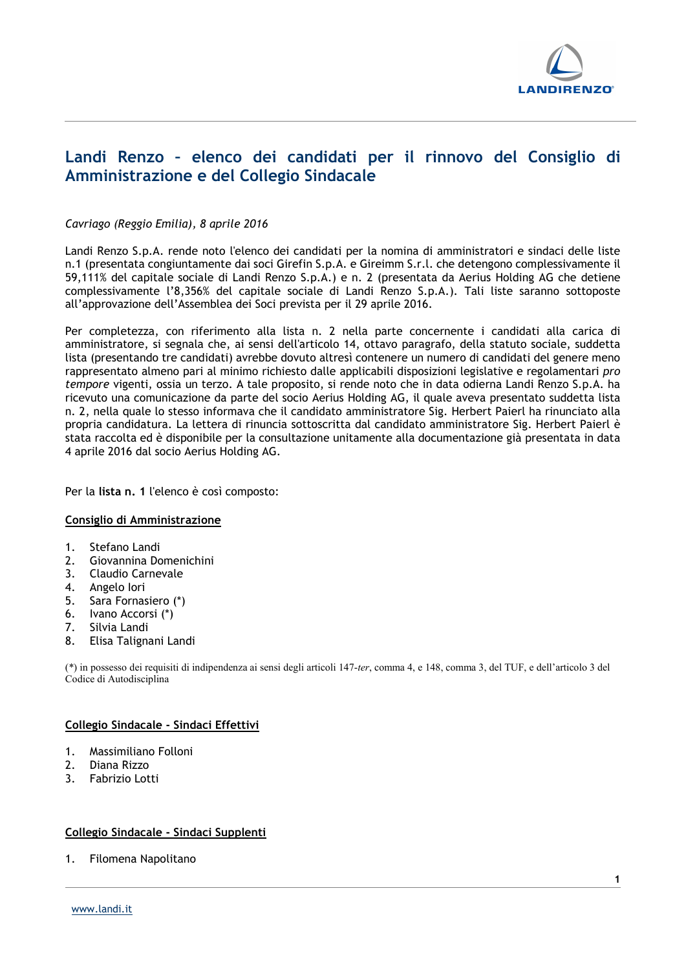

# Landi Renzo – elenco dei candidati per il rinnovo del Consiglio di Amministrazione e del Collegio Sindacale

### Cavriago (Reggio Emilia), 8 aprile 2016

Landi Renzo S.p.A. rende noto l'elenco dei candidati per la nomina di amministratori e sindaci delle liste n.1 (presentata congiuntamente dai soci Girefin S.p.A. e Gireimm S.r.l. che detengono complessivamente il 59,111% del capitale sociale di Landi Renzo S.p.A.) e n. 2 (presentata da Aerius Holding AG che detiene complessivamente l'8,356% del capitale sociale di Landi Renzo S.p.A.). Tali liste saranno sottoposte all'approvazione dell'Assemblea dei Soci prevista per il 29 aprile 2016.

Per completezza, con riferimento alla lista n. 2 nella parte concernente i candidati alla carica di amministratore, si segnala che, ai sensi dell'articolo 14, ottavo paragrafo, della statuto sociale, suddetta lista (presentando tre candidati) avrebbe dovuto altresì contenere un numero di candidati del genere meno rappresentato almeno pari al minimo richiesto dalle applicabili disposizioni legislative e regolamentari pro tempore vigenti, ossia un terzo. A tale proposito, si rende noto che in data odierna Landi Renzo S.p.A. ha ricevuto una comunicazione da parte del socio Aerius Holding AG, il quale aveva presentato suddetta lista n. 2, nella quale lo stesso informava che il candidato amministratore Sig. Herbert Paierl ha rinunciato alla propria candidatura. La lettera di rinuncia sottoscritta dal candidato amministratore Sig. Herbert Paierl è stata raccolta ed è disponibile per la consultazione unitamente alla documentazione già presentata in data 4 aprile 2016 dal socio Aerius Holding AG.

Per la lista n. 1 l'elenco è così composto:

#### Consiglio di Amministrazione

- 1. Stefano Landi
- 2. Giovannina Domenichini
- 3. Claudio Carnevale
- 
- 4. Angelo Iori<br>5. Sara Fornas 5. Sara Fornasiero (\*)
- 6. Ivano Accorsi (\*)
- 7. Silvia Landi
- 8. Elisa Talignani Landi

(\*) in possesso dei requisiti di indipendenza ai sensi degli articoli 147-ter, comma 4, e 148, comma 3, del TUF, e dell'articolo 3 del Codice di Autodisciplina

#### Collegio Sindacale - Sindaci Effettivi

- 1. Massimiliano Folloni
- 2. Diana Rizzo
- 3. Fabrizio Lotti

## Collegio Sindacale - Sindaci Supplenti

1. Filomena Napolitano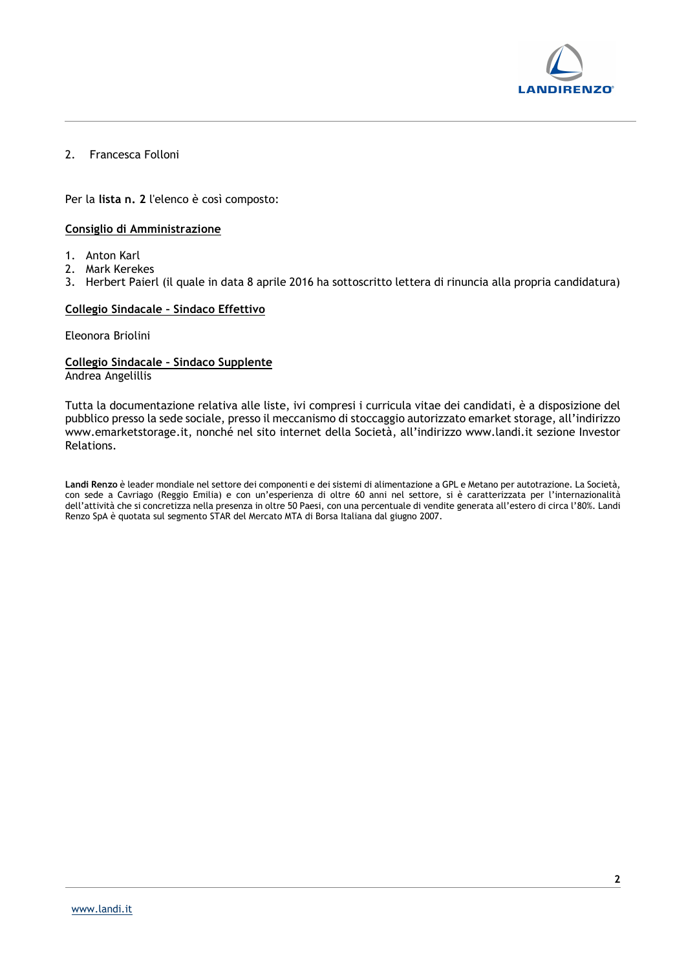

# 2. Francesca Folloni

Per la lista n. 2 l'elenco è così composto:

### Consiglio di Amministrazione

- 1. Anton Karl
- 2. Mark Kerekes
- 3. Herbert Paierl (il quale in data 8 aprile 2016 ha sottoscritto lettera di rinuncia alla propria candidatura)

#### Collegio Sindacale – Sindaco Effettivo

Eleonora Briolini

### Collegio Sindacale – Sindaco Supplente Andrea Angelillis

Tutta la documentazione relativa alle liste, ivi compresi i curricula vitae dei candidati, è a disposizione del pubblico presso la sede sociale, presso il meccanismo di stoccaggio autorizzato emarket storage, all'indirizzo www.emarketstorage.it, nonché nel sito internet della Società, all'indirizzo www.landi.it sezione Investor Relations.

Landi Renzo è leader mondiale nel settore dei componenti e dei sistemi di alimentazione a GPL e Metano per autotrazione. La Società, con sede a Cavriago (Reggio Emilia) e con un'esperienza di oltre 60 anni nel settore, si è caratterizzata per l'internazionalità dell'attività che si concretizza nella presenza in oltre 50 Paesi, con una percentuale di vendite generata all'estero di circa l'80%. Landi Renzo SpA è quotata sul segmento STAR del Mercato MTA di Borsa Italiana dal giugno 2007.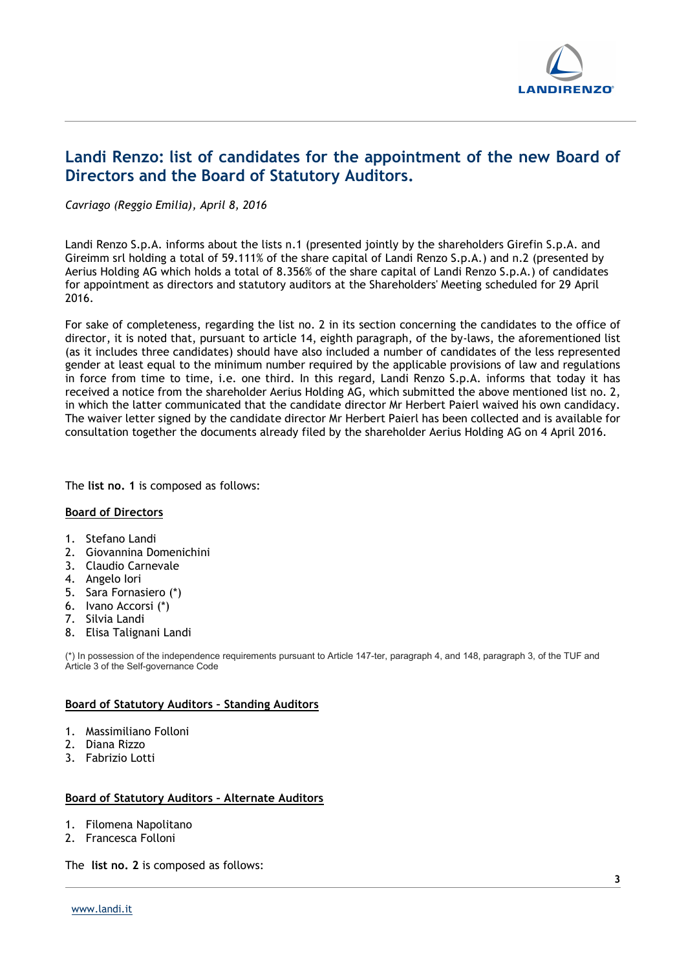

# Landi Renzo: list of candidates for the appointment of the new Board of Directors and the Board of Statutory Auditors.

Cavriago (Reggio Emilia), April 8, 2016

Landi Renzo S.p.A. informs about the lists n.1 (presented jointly by the shareholders Girefin S.p.A. and Gireimm srl holding a total of 59.111% of the share capital of Landi Renzo S.p.A.) and n.2 (presented by Aerius Holding AG which holds a total of 8.356% of the share capital of Landi Renzo S.p.A.) of candidates for appointment as directors and statutory auditors at the Shareholders' Meeting scheduled for 29 April 2016.

For sake of completeness, regarding the list no. 2 in its section concerning the candidates to the office of director, it is noted that, pursuant to article 14, eighth paragraph, of the by-laws, the aforementioned list (as it includes three candidates) should have also included a number of candidates of the less represented gender at least equal to the minimum number required by the applicable provisions of law and regulations in force from time to time, i.e. one third. In this regard, Landi Renzo S.p.A. informs that today it has received a notice from the shareholder Aerius Holding AG, which submitted the above mentioned list no. 2, in which the latter communicated that the candidate director Mr Herbert Paierl waived his own candidacy. The waiver letter signed by the candidate director Mr Herbert Paierl has been collected and is available for consultation together the documents already filed by the shareholder Aerius Holding AG on 4 April 2016.

The list no. 1 is composed as follows:

#### Board of Directors

- 1. Stefano Landi
- 2. Giovannina Domenichini
- 3. Claudio Carnevale
- 4. Angelo Iori
- 5. Sara Fornasiero (\*)
- 6. Ivano Accorsi (\*)
- 7. Silvia Landi
- 8. Elisa Talignani Landi

(\*) In possession of the independence requirements pursuant to Article 147-ter, paragraph 4, and 148, paragraph 3, of the TUF and Article 3 of the Self-governance Code

# Board of Statutory Auditors – Standing Auditors

- 1. Massimiliano Folloni
- 2. Diana Rizzo
- 3. Fabrizio Lotti

#### Board of Statutory Auditors – Alternate Auditors

- 1. Filomena Napolitano
- 2. Francesca Folloni

The list no. 2 is composed as follows: